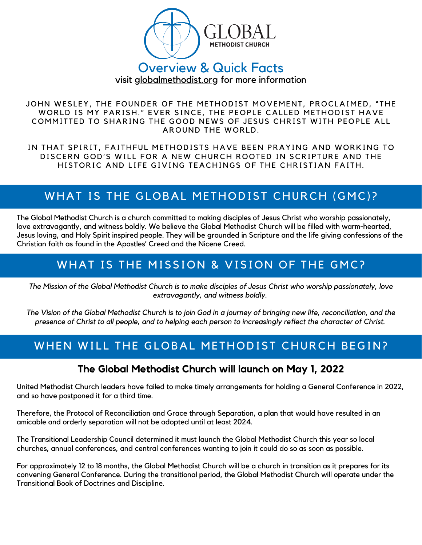

# Overview & Quick Facts

visit globalmethodist.org for more information

JOHN WESLEY, THE FOUNDER OF THE METHODIST MOVEMENT, PROCLAIMED, "THE WORLD IS MY PARISH." EVER SINCE, THE PEOPLE CALLED METHODIST HAVE COMMITTED TO SHARING THE GOOD NEWS OF JESUS CHRIST WITH PEOPLE ALL AROUND THE WORLD.

IN THAT SPIRIT, FAITHFUL METHODISTS HAVE BEEN PRAYING AND WORKING TO DISCERN GOD'S WILL FOR A NEW CHURCH ROOTED IN SCRIPTURE AND THE HISTORIC AND LIFE GIVING TEACHINGS OF THE CHRISTIAN FAITH.

# WHAT IS THE GLOBAL METHODIST CHURCH (GMC)?

The Global Methodist Church is a church committed to making disciples of Jesus Christ who worship passionately, love extravagantly, and witness boldly. We believe the Global Methodist Church will be filled with warm-hearted, Jesus loving, and Holy Spirit inspired people. They will be grounded in Scripture and the life giving confessions of the Christian faith as found in the Apostles' Creed and the Nicene Creed.

# WHAT IS THE MISSION & VISION OF THE GMC?

The Mission of the Global Methodist Church is to make disciples of Jesus Christ who worship passionately, love *extravagantly, and witness boldly.*

The Vision of the Global Methodist Church is to join God in a journey of bringing new life, reconciliation, and the presence of Christ to all people, and to helping each person to increasingly reflect the character of Christ.

# WHEN WILL THE GLOBAL METHODIST CHURCH BEGIN?

#### **The Global Methodist Church will launch on May 1, 2022**

United Methodist Church leaders have failed to make timely arrangements for holding a General Conference in 2022, and so have postponed it for a third time.

Therefore, the Protocol of Reconciliation and Grace through Separation, a plan that would have resulted in an amicable and orderly separation will not be adopted until at least 2024.

The Transitional Leadership Council determined it must launch the Global Methodist Church this year so local churches, annual conferences, and central conferences wanting to join it could do so as soon as possible.

For approximately 12 to 18 months, the Global Methodist Church will be a church in transition as it prepares for its convening General Conference. During the transitional period, the Global Methodist Church will operate under the Transitional Book of Doctrines and Discipline.